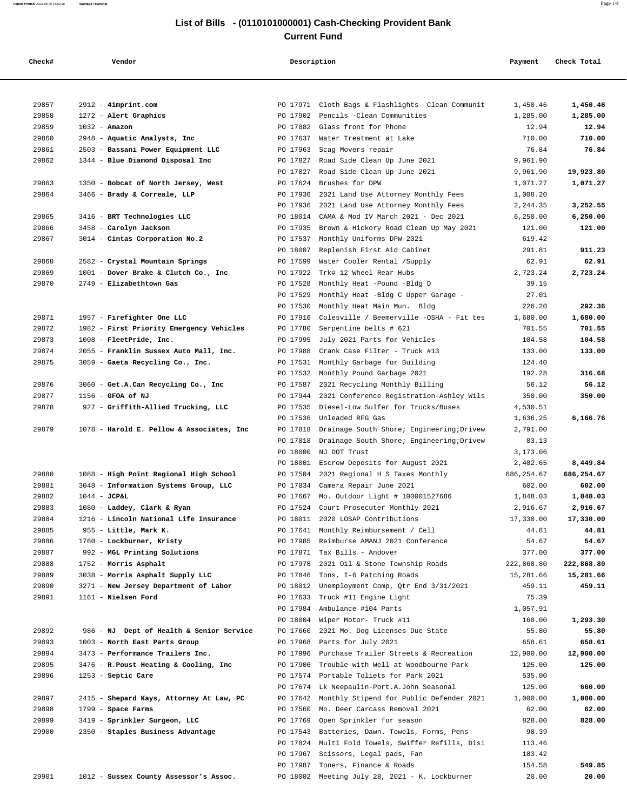## **List of Bills - (0110101000001) Cash-Checking Provident Bank Current Fund**

| Check# | Vendor                                    | Description | Payment                                           | Check Total |            |
|--------|-------------------------------------------|-------------|---------------------------------------------------|-------------|------------|
|        |                                           |             |                                                   |             |            |
| 29857  | 2912 - 4imprint.com                       | PO 17971    | Cloth Bags & Flashlights- Clean Communit          | 1,450.46    | 1,450.46   |
| 29858  | 1272 - Alert Graphics                     | PO 17902    | Pencils -Clean Communities                        | 1,285.00    | 1,285.00   |
| 29859  | $1032 - \text{Amazon}$                    | PO 17882    | Glass front for Phone                             | 12.94       | 12.94      |
| 29860  | 2948 - Aquatic Analysts, Inc              | PO 17637    | Water Treatment at Lake                           | 710.00      | 710.00     |
| 29861  | 2503 - Bassani Power Equipment LLC        | PO 17963    | Scag Movers repair                                | 76.84       | 76.84      |
| 29862  | 1344 - Blue Diamond Disposal Inc          | PO 17827    | Road Side Clean Up June 2021                      | 9,961.90    |            |
|        |                                           | PO 17827    | Road Side Clean Up June 2021                      | 9,961.90    | 19,923.80  |
| 29863  | 1350 - Bobcat of North Jersey, West       | PO 17624    | Brushes for DPW                                   | 1,071.27    | 1,071.27   |
| 29864  | 3466 - Brady & Correale, LLP              | PO 17936    | 2021 Land Use Attorney Monthly Fees               | 1,008.20    |            |
|        |                                           | PO 17936    | 2021 Land Use Attorney Monthly Fees               | 2,244.35    | 3,252.55   |
| 29865  | 3416 - BRT Technologies LLC               | PO 18014    | CAMA & Mod IV March 2021 - Dec 2021               | 6, 250.00   | 6,250.00   |
| 29866  | 3458 - Carolyn Jackson                    | PO 17935    | Brown & Hickory Road Clean Up May 2021            | 121.00      | 121.00     |
| 29867  | 3014 - Cintas Corporation No.2            | PO 17537    | Monthly Uniforms DPW-2021                         | 619.42      |            |
|        |                                           | PO 18007    | Replenish First Aid Cabinet                       | 291.81      | 911.23     |
| 29868  | 2582 - Crystal Mountain Springs           | PO 17599    | Water Cooler Rental /Supply                       | 62.91       | 62.91      |
| 29869  | 1001 - Dover Brake & Clutch Co., Inc      | PO 17922    | Trk# 12 Wheel Rear Hubs                           | 2,723.24    | 2,723.24   |
| 29870  | 2749 - Elizabethtown Gas                  | PO 17528    | Monthly Heat -Pound -Bldg D                       | 39.15       |            |
|        |                                           | PO 17529    | Monthly Heat -Bldg C Upper Garage -               | 27.01       |            |
|        |                                           | PO 17530    | Monthly Heat Main Mun. Bldg                       | 226.20      | 292.36     |
| 29871  | 1957 - Firefighter One LLC                | PO 17916    | Colesville / Beemerville -OSHA - Fit tes          | 1,680.00    | 1,680.00   |
| 29872  | 1982 - First Priority Emergency Vehicles  | PO 17780    | Serpentine belts # 621                            | 701.55      | 701.55     |
| 29873  | 1008 - FleetPride, Inc.                   | PO 17995    | July 2021 Parts for Vehicles                      | 104.58      | 104.58     |
| 29874  | 2055 - Franklin Sussex Auto Mall, Inc.    | PO 17988    | Crank Case Filter - Truck #13                     | 133.00      | 133.00     |
| 29875  | 3059 - Gaeta Recycling Co., Inc.          | PO 17531    | Monthly Garbage for Building                      | 124.40      |            |
|        |                                           | PO 17532    | Monthly Pound Garbage 2021                        | 192.28      | 316.68     |
| 29876  | 3060 - Get.A.Can Recycling Co., Inc       | PO 17587    | 2021 Recycling Monthly Billing                    | 56.12       | 56.12      |
| 29877  | 1156 - GFOA of NJ                         | PO 17944    | 2021 Conference Registration-Ashley Wils          | 350.00      | 350.00     |
| 29878  | 927 - Griffith-Allied Trucking, LLC       | PO 17535    | Diesel-Low Sulfer for Trucks/Buses                | 4,530.51    |            |
|        |                                           | PO 17536    | Unleaded RFG Gas                                  | 1,636.25    | 6,166.76   |
| 29879  | 1078 - Harold E. Pellow & Associates, Inc | PO 17818    | Drainage South Shore; Engineering; Drivew         | 2,791.00    |            |
|        |                                           | PO 17818    | Drainage South Shore; Engineering; Drivew         | 83.13       |            |
|        |                                           | PO 18000    | NJ DOT Trust                                      | 3,173.06    |            |
|        |                                           | PO 18001    | Escrow Deposits for August 2021                   | 2,402.65    | 8,449.84   |
| 29880  | 1088 - High Point Regional High School    | PO 17504    | 2021 Regional H S Taxes Monthly                   | 686,254.67  | 686,254.67 |
| 29881  | 3048 - Information Systems Group, LLC     | PO 17834    | Camera Repair June 2021                           | 602.00      | 602.00     |
| 29882  | $1044 - JCPAL$                            |             | PO 17667 Mo. Outdoor Light # 100001527686         | 1,848.03    | 1,848.03   |
| 29883  | 1080 - Laddey, Clark & Ryan               |             | PO 17524 Court Prosecuter Monthly 2021            | 2,916.67    | 2,916.67   |
| 29884  | 1216 - Lincoln National Life Insurance    |             | PO 18011 2020 LOSAP Contributions                 | 17,330.00   | 17,330.00  |
| 29885  | 955 - Little, Mark K.                     |             | PO 17641 Monthly Reimbursement / Cell             | 44.81       | 44.81      |
| 29886  | 1760 - Lockburner, Kristy                 |             | PO 17985 Reimburse AMANJ 2021 Conference          | 54.67       | 54.67      |
| 29887  | 992 - MGL Printing Solutions              |             | PO 17871 Tax Bills - Andover                      | 377.00      | 377.00     |
| 29888  | 1752 - Morris Asphalt                     | PO 17978    | 2021 Oil & Stone Township Roads                   | 222,868.80  | 222,868.80 |
| 29889  | 3038 - Morris Asphalt Supply LLC          | PO 17846    | Tons, I-6 Patching Roads                          | 15,281.66   | 15,281.66  |
| 29890  | 3271 - New Jersey Department of Labor     | PO 18012    | Unemployment Comp, Qtr End 3/31/2021              | 459.11      | 459.11     |
| 29891  | 1161 - Nielsen Ford                       | PO 17633    | Truck #11 Engine Light                            | 75.39       |            |
|        |                                           |             | PO 17984 Ambulance #104 Parts                     | 1,057.91    |            |
|        |                                           |             | PO 18004 Wiper Motor- Truck #11                   | 160.00      | 1,293.30   |
| 29892  | 986 - NJ Dept of Health & Senior Service  | PO 17660    | 2021 Mo. Dog Licenses Due State                   | 55.80       | 55.80      |
| 29893  | 1003 - North East Parts Group             |             | PO 17968 Parts for July 2021                      | 658.61      | 658.61     |
| 29894  | 3473 - Performance Trailers Inc.          |             | PO 17996 Purchase Trailer Streets & Recreation    | 12,900.00   | 12,900.00  |
| 29895  | 3476 - R.Poust Heating & Cooling, Inc     |             | PO 17906 Trouble with Well at Woodbourne Park     | 125.00      | 125.00     |
| 29896  | 1253 - Septic Care                        |             | PO 17574 Portable Toliets for Park 2021           | 535.00      |            |
|        |                                           |             | PO 17674 Lk Neepaulin-Port.A.John Seasonal        | 125.00      | 660.00     |
| 29897  | 2415 - Shepard Kays, Attorney At Law, PC  |             | PO 17642 Monthly Stipend for Public Defender 2021 | 1,000.00    | 1,000.00   |
| 29898  | 1799 - Space Farms                        | PO 17560    | Mo. Deer Carcass Removal 2021                     | 62.00       | 62.00      |
| 29899  | 3419 - Sprinkler Surgeon, LLC             | PO 17769    | Open Sprinkler for season                         | 828.00      | 828.00     |
| 29900  | 2350 - Staples Business Advantage         |             | PO 17543 Batteries, Dawn. Towels, Forms, Pens     | 98.39       |            |
|        |                                           |             | PO 17824 Multi Fold Towels, Swiffer Refills, Disi | 113.46      |            |
|        |                                           |             | PO 17967 Scissors, Legal pads, Fan                | 183.42      |            |
|        |                                           |             | PO 17987 Toners, Finance & Roads                  | 154.58      | 549.85     |
| 29901  | 1012 - Sussex County Assessor's Assoc.    |             | PO 18002 Meeting July 28, 2021 - K. Lockburner    | 20.00       | 20.00      |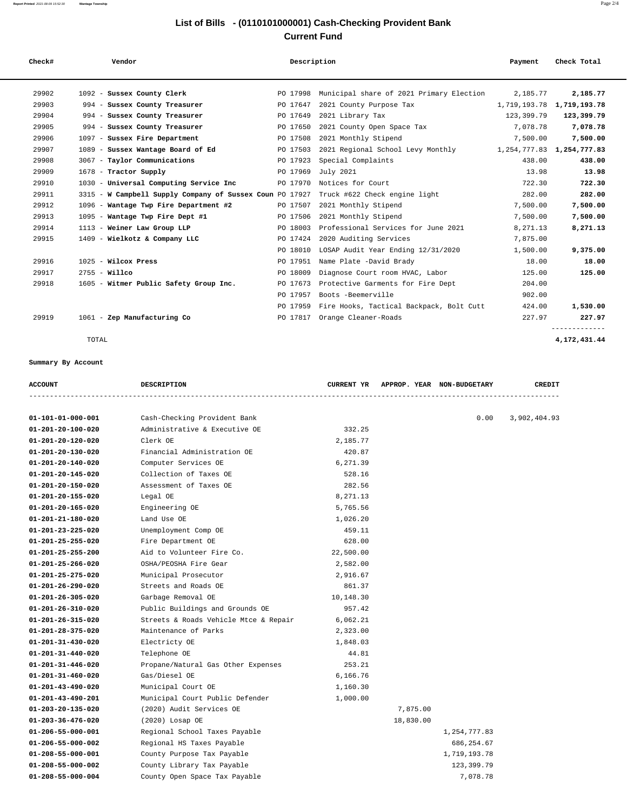## **List of Bills - (0110101000001) Cash-Checking Provident Bank Current Fund**

| Check# | Vendor                                                   | Description | Payment                                  | Check Total                   |               |
|--------|----------------------------------------------------------|-------------|------------------------------------------|-------------------------------|---------------|
| 29902  | 1092 - Sussex County Clerk                               | PO 17998    | Municipal share of 2021 Primary Election | 2,185.77                      | 2,185.77      |
| 29903  | 994 - Sussex County Treasurer                            | PO 17647    | 2021 County Purpose Tax                  | 1,719,193.78                  | 1,719,193.78  |
| 29904  | 994 - Sussex County Treasurer                            | PO 17649    | 2021 Library Tax                         | 123,399.79                    | 123,399.79    |
| 29905  | 994 - Sussex County Treasurer                            | PO 17650    | 2021 County Open Space Tax               | 7,078.78                      | 7,078.78      |
| 29906  | 1097 - Sussex Fire Department                            | PO 17508    | 2021 Monthly Stipend                     | 7,500.00                      | 7,500.00      |
| 29907  | 1089 - Sussex Wantage Board of Ed                        | PO 17503    | 2021 Regional School Levy Monthly        | 1, 254, 777.83 1, 254, 777.83 |               |
| 29908  | 3067 - Taylor Communications                             | PO 17923    | Special Complaints                       | 438.00                        | 438.00        |
| 29909  | 1678 - Tractor Supply                                    | PO 17969    | July 2021                                | 13.98                         | 13.98         |
| 29910  | 1030 - Universal Computing Service Inc                   | PO 17970    | Notices for Court                        | 722.30                        | 722.30        |
| 29911  | 3315 - W Campbell Supply Company of Sussex Coun PO 17927 |             | Truck #622 Check engine light            | 282.00                        | 282.00        |
| 29912  | 1096 - Wantage Twp Fire Department #2                    | PO 17507    | 2021 Monthly Stipend                     | 7,500.00                      | 7,500.00      |
| 29913  | 1095 - Wantage Twp Fire Dept #1                          | PO 17506    | 2021 Monthly Stipend                     | 7,500.00                      | 7,500.00      |
| 29914  | 1113 - Weiner Law Group LLP                              | PO 18003    | Professional Services for June 2021      | 8, 271, 13                    | 8,271.13      |
| 29915  | 1409 - Wielkotz & Company LLC                            | PO 17424    | 2020 Auditing Services                   |                               |               |
|        |                                                          |             |                                          | 7,875.00                      |               |
|        |                                                          | PO 18010    | LOSAP Audit Year Ending 12/31/2020       | 1,500.00                      | 9,375.00      |
| 29916  | $1025$ - Wilcox Press                                    | PO 17951    | Name Plate -David Brady                  | 18.00                         | 18.00         |
| 29917  | $2755 -$ Willco                                          | PO 18009    | Diagnose Court room HVAC, Labor          | 125.00                        | 125.00        |
| 29918  | 1605 - Witmer Public Safety Group Inc.                   | PO 17673    | Protective Garments for Fire Dept        | 204.00                        |               |
|        |                                                          | PO 17957    | Boots -Beemerville                       | 902.00                        |               |
|        |                                                          | PO 17959    | Fire Hooks, Tactical Backpack, Bolt Cutt | 424.00                        | 1,530.00      |
| 29919  | 1061 - Zep Manufacturing Co                              | PO 17817    | Orange Cleaner-Roads                     | 227.97                        | 227.97        |
|        |                                                          |             |                                          |                               | ------------- |

## **Summary By Account**

| $01 - 101 - 01 - 000 - 001$ | Cash-Checking Provident Bank          |           |           | 0.00         | 3,902,404.93 |
|-----------------------------|---------------------------------------|-----------|-----------|--------------|--------------|
| $01 - 201 - 20 - 100 - 020$ | Administrative & Executive OE         | 332.25    |           |              |              |
| 01-201-20-120-020           | Clerk OE                              | 2,185.77  |           |              |              |
| 01-201-20-130-020           | Financial Administration OE           | 420.87    |           |              |              |
| $01 - 201 - 20 - 140 - 020$ | Computer Services OE                  | 6,271.39  |           |              |              |
| 01-201-20-145-020           | Collection of Taxes OE                | 528.16    |           |              |              |
| $01 - 201 - 20 - 150 - 020$ | Assessment of Taxes OE                | 282.56    |           |              |              |
| $01 - 201 - 20 - 155 - 020$ | Legal OE                              | 8,271.13  |           |              |              |
| 01-201-20-165-020           | Engineering OE                        | 5,765.56  |           |              |              |
| 01-201-21-180-020           | Land Use OE                           | 1,026.20  |           |              |              |
| $01 - 201 - 23 - 225 - 020$ | Unemployment Comp OE                  | 459.11    |           |              |              |
| $01 - 201 - 25 - 255 - 020$ | Fire Department OE                    | 628.00    |           |              |              |
| $01 - 201 - 25 - 255 - 200$ | Aid to Volunteer Fire Co.             | 22,500.00 |           |              |              |
| 01-201-25-266-020           | OSHA/PEOSHA Fire Gear                 | 2,582.00  |           |              |              |
| 01-201-25-275-020           | Municipal Prosecutor                  | 2,916.67  |           |              |              |
| $01 - 201 - 26 - 290 - 020$ | Streets and Roads OE                  | 861.37    |           |              |              |
| $01 - 201 - 26 - 305 - 020$ | Garbage Removal OE                    | 10,148.30 |           |              |              |
| $01 - 201 - 26 - 310 - 020$ | Public Buildings and Grounds OE       | 957.42    |           |              |              |
| $01 - 201 - 26 - 315 - 020$ | Streets & Roads Vehicle Mtce & Repair | 6,062.21  |           |              |              |
| 01-201-28-375-020           | Maintenance of Parks                  | 2,323.00  |           |              |              |
| $01 - 201 - 31 - 430 - 020$ | Electricty OE                         | 1,848.03  |           |              |              |
| $01 - 201 - 31 - 440 - 020$ | Telephone OE                          | 44.81     |           |              |              |
| $01 - 201 - 31 - 446 - 020$ | Propane/Natural Gas Other Expenses    | 253.21    |           |              |              |
| 01-201-31-460-020           | Gas/Diesel OE                         | 6,166.76  |           |              |              |
| 01-201-43-490-020           | Municipal Court OE                    | 1,160.30  |           |              |              |
| $01 - 201 - 43 - 490 - 201$ | Municipal Court Public Defender       | 1,000.00  |           |              |              |
| 01-203-20-135-020           | (2020) Audit Services OE              |           | 7,875.00  |              |              |
| $01 - 203 - 36 - 476 - 020$ | (2020) Losap OE                       |           | 18,830.00 |              |              |
| 01-206-55-000-001           | Regional School Taxes Payable         |           |           | 1,254,777.83 |              |
| 01-206-55-000-002           | Regional HS Taxes Payable             |           |           | 686,254.67   |              |
| 01-208-55-000-001           | County Purpose Tax Payable            |           |           | 1,719,193.78 |              |
| 01-208-55-000-002           | County Library Tax Payable            |           |           | 123,399.79   |              |
| $01 - 208 - 55 - 000 - 004$ | County Open Space Tax Payable         |           |           | 7,078.78     |              |

 **ACCOUNT DESCRIPTION CURRENT YR APPROP. YEAR NON-BUDGETARY CREDIT**

TOTAL **4,172,431.44**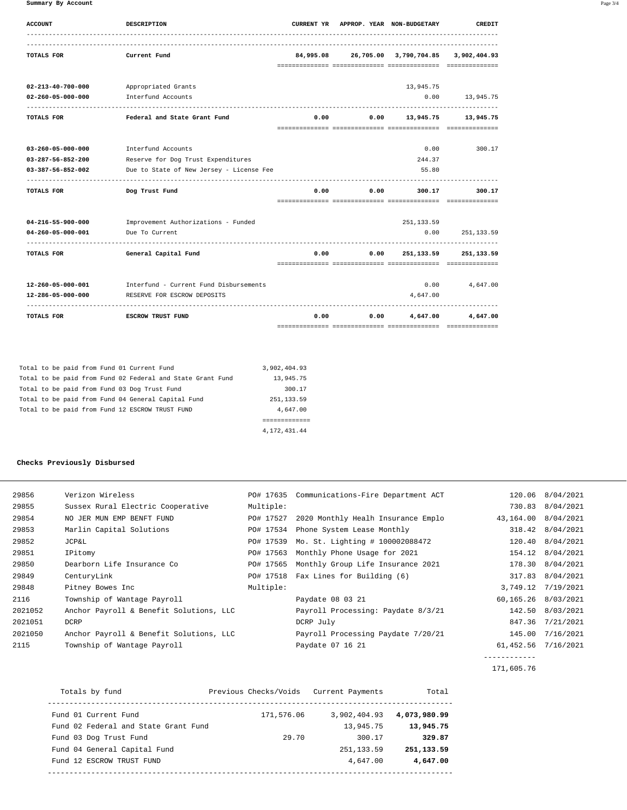**Summary By Account** Page 3/4

| CREDIT           | CURRENT YR APPROP. YEAR NON-BUDGETARY         |               |      | <b>DESCRIPTION</b>                                       | <b>ACCOUNT</b>              |
|------------------|-----------------------------------------------|---------------|------|----------------------------------------------------------|-----------------------------|
|                  | 84,995.08 26,705.00 3,790,704.85 3,902,404.93 |               |      | Current Fund                                             | TOTALS FOR                  |
|                  |                                               |               |      |                                                          |                             |
|                  | 13,945.75                                     |               |      | Appropriated Grants                                      | $02 - 213 - 40 - 700 - 000$ |
| $0.00$ 13,945.75 |                                               |               |      | Interfund Accounts                                       | $02 - 260 - 05 - 000 - 000$ |
|                  | $0.00$ $0.00$ $13.945.75$ $13.945.75$         |               |      | Federal and State Grant Fund                             | <b>TOTALS FOR</b>           |
|                  |                                               |               |      |                                                          |                             |
| 300.17           | $0.00 -$                                      |               |      | Interfund Accounts                                       | 03-260-05-000-000           |
|                  | 244.37                                        |               |      | Reserve for Dog Trust Expenditures                       | 03-287-56-852-200           |
|                  | 55.80                                         |               |      | Due to State of New Jersey - License Fee                 | 03-387-56-852-002           |
| 300.17           | 300.17                                        | 0.00<br>0.00  |      | Dog Trust Fund                                           | TOTALS FOR                  |
|                  |                                               |               |      |                                                          |                             |
|                  | 251,133.59                                    |               |      | Improvement Authorizations - Funded                      | 04-216-55-900-000           |
| 251, 133.59      | 0.00                                          |               |      | Due To Current                                           | 04-260-05-000-001           |
| 251, 133.59      | 251,133.59                                    | $0.00$ $0.00$ |      | General Capital Fund                                     | TOTALS FOR                  |
|                  |                                               |               |      |                                                          |                             |
| $0.00$ 4,647.00  |                                               |               |      | 12-260-05-000-001 Interfund - Current Fund Disbursements |                             |
|                  | 4,647.00                                      |               |      | RESERVE FOR ESCROW DEPOSITS                              | 12-286-05-000-000           |
| 4,647.00         | 4,647.00                                      | 0.00          | 0.00 | <b>ESCROW TRUST FUND</b>                                 | TOTALS FOR                  |

|  |  |  |  | Total to be paid from Fund 01 Current Fund                 | 3,902,404.93 |  |
|--|--|--|--|------------------------------------------------------------|--------------|--|
|  |  |  |  | Total to be paid from Fund 02 Federal and State Grant Fund | 13,945.75    |  |
|  |  |  |  | Total to be paid from Fund 03 Dog Trust Fund               | 300.17       |  |
|  |  |  |  | Total to be paid from Fund 04 General Capital Fund         | 251, 133, 59 |  |
|  |  |  |  | Total to be paid from Fund 12 ESCROW TRUST FUND            | 4,647.00     |  |
|  |  |  |  |                                                            |              |  |
|  |  |  |  |                                                            | 4.172.431.44 |  |

## **Checks Previously Disbursed**

| 29856   | Verizon Wireless                        | PO# 17635 | Communications-Fire Department ACT |                      | 120.06 8/04/2021   |
|---------|-----------------------------------------|-----------|------------------------------------|----------------------|--------------------|
| 29855   | Sussex Rural Electric Cooperative       | Multiple: |                                    |                      | 730.83 8/04/2021   |
| 29854   | NO JER MUN EMP BENFT FUND               | PO# 17527 | 2020 Monthly Healh Insurance Emplo | 43,164.00            | 8/04/2021          |
| 29853   | Marlin Capital Solutions                | PO# 17534 | Phone System Lease Monthly         | 318.42               | 8/04/2021          |
| 29852   | <b>JCP&amp;L</b>                        | PO# 17539 | Mo. St. Lighting # 100002088472    | 120.40               | 8/04/2021          |
| 29851   | IPitomy                                 | PO# 17563 | Monthly Phone Usage for 2021       |                      | 154.12 8/04/2021   |
| 29850   | Dearborn Life Insurance Co              | PO# 17565 | Monthly Group Life Insurance 2021  |                      | 178.30 8/04/2021   |
| 29849   | CenturyLink                             | PO# 17518 | Fax Lines for Building (6)         | 317.83               | 8/04/2021          |
| 29848   | Pitney Bowes Inc                        | Multiple: |                                    |                      | 3,749.12 7/19/2021 |
| 2116    | Township of Wantage Payroll             |           | Paydate 08 03 21                   | 60,165.26            | 8/03/2021          |
| 2021052 | Anchor Payroll & Benefit Solutions, LLC |           | Payroll Processing: Paydate 8/3/21 | 142.50               | 8/03/2021          |
| 2021051 | DCRP                                    |           | DCRP July                          | 847.36               | 7/21/2021          |
| 2021050 | Anchor Payroll & Benefit Solutions, LLC |           | Payroll Processing Paydate 7/20/21 | 145.00               | 7/16/2021          |
| 2115    | Township of Wantage Payroll             |           | Paydate 07 16 21                   | 61, 452.56 7/16/2021 |                    |
|         |                                         |           |                                    |                      |                    |

171,605.76

| Totals by fund                       | Previous Checks/Voids | Current Payments | Total        |
|--------------------------------------|-----------------------|------------------|--------------|
| Fund 01 Current Fund                 | 171,576.06            | 3,902,404.93     | 4,073,980.99 |
| Fund 02 Federal and State Grant Fund |                       | 13,945.75        | 13,945.75    |
| Fund 03 Dog Trust Fund               | 29.70                 | 300.17           | 329.87       |
| Fund 04 General Capital Fund         |                       | 251, 133.59      | 251, 133.59  |
| Fund 12 ESCROW TRUST FUND            |                       | 4,647.00         | 4,647.00     |
|                                      |                       |                  |              |

------------